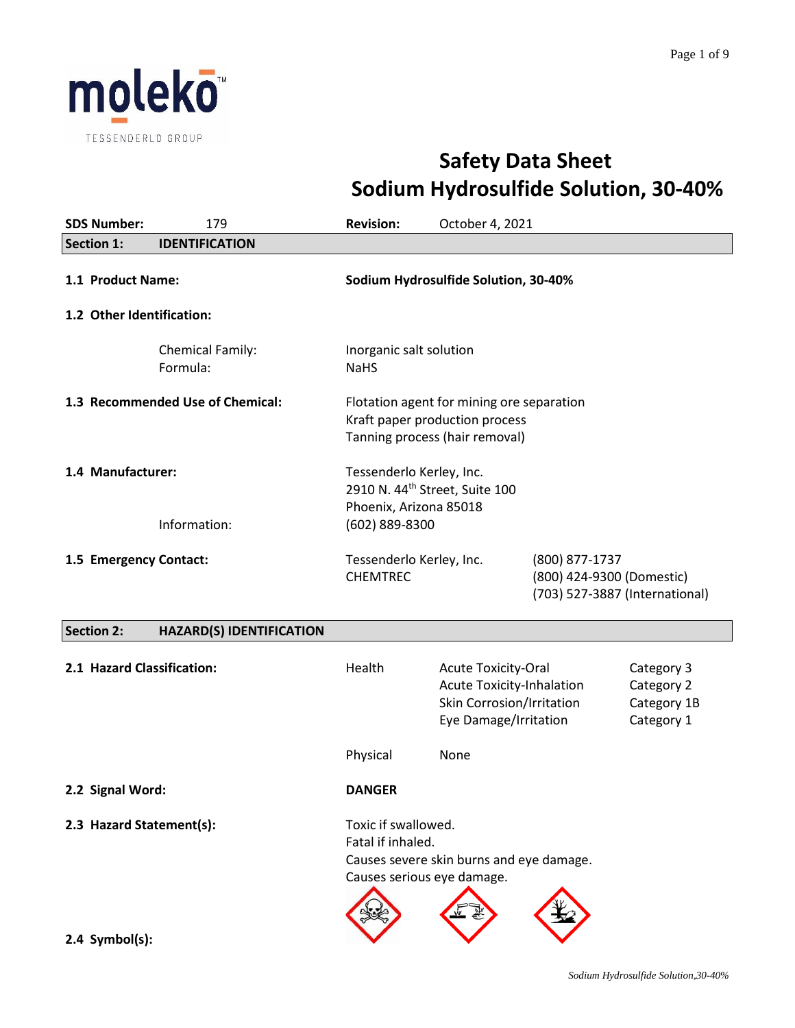

# **Safety Data Sheet Sodium Hydrosulfide Solution, 30-40%**

| <b>SDS Number:</b>                             | 179                                 | <b>Revision:</b>                                                                                                   | October 4, 2021                                                                                               |                                                                               |                                                       |
|------------------------------------------------|-------------------------------------|--------------------------------------------------------------------------------------------------------------------|---------------------------------------------------------------------------------------------------------------|-------------------------------------------------------------------------------|-------------------------------------------------------|
| <b>Section 1:</b>                              | <b>IDENTIFICATION</b>               |                                                                                                                    |                                                                                                               |                                                                               |                                                       |
| 1.1 Product Name:<br>1.2 Other Identification: |                                     |                                                                                                                    | Sodium Hydrosulfide Solution, 30-40%                                                                          |                                                                               |                                                       |
|                                                | <b>Chemical Family:</b><br>Formula: | Inorganic salt solution<br><b>NaHS</b>                                                                             |                                                                                                               |                                                                               |                                                       |
|                                                | 1.3 Recommended Use of Chemical:    |                                                                                                                    | Flotation agent for mining ore separation<br>Kraft paper production process<br>Tanning process (hair removal) |                                                                               |                                                       |
| 1.4 Manufacturer:                              | Information:                        | Tessenderlo Kerley, Inc.<br>2910 N. 44 <sup>th</sup> Street, Suite 100<br>Phoenix, Arizona 85018<br>(602) 889-8300 |                                                                                                               |                                                                               |                                                       |
| 1.5 Emergency Contact:                         |                                     | Tessenderlo Kerley, Inc.<br><b>CHEMTREC</b>                                                                        |                                                                                                               | (800) 877-1737<br>(800) 424-9300 (Domestic)<br>(703) 527-3887 (International) |                                                       |
| <b>Section 2:</b>                              | <b>HAZARD(S) IDENTIFICATION</b>     |                                                                                                                    |                                                                                                               |                                                                               |                                                       |
| 2.1 Hazard Classification:                     |                                     | Health                                                                                                             | <b>Acute Toxicity-Oral</b><br>Acute Toxicity-Inhalation<br>Skin Corrosion/Irritation<br>Eye Damage/Irritation |                                                                               | Category 3<br>Category 2<br>Category 1B<br>Category 1 |
|                                                |                                     | Physical                                                                                                           | None                                                                                                          |                                                                               |                                                       |
| 2.2 Signal Word:                               |                                     | <b>DANGER</b>                                                                                                      |                                                                                                               |                                                                               |                                                       |
| 2.3 Hazard Statement(s):                       |                                     | Toxic if swallowed.<br>Fatal if inhaled.<br>Causes serious eye damage.                                             | Causes severe skin burns and eye damage.                                                                      |                                                                               |                                                       |
| 2.4 Symbol(s):                                 |                                     |                                                                                                                    |                                                                                                               |                                                                               |                                                       |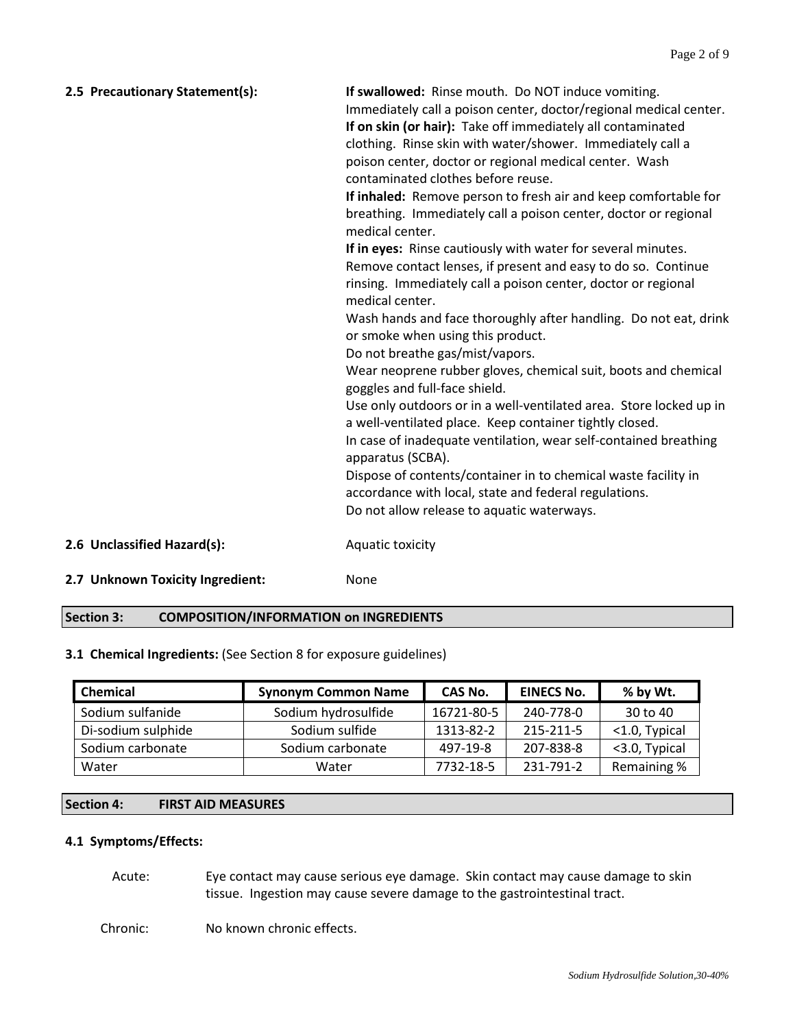| 2.5 Precautionary Statement(s):  | If swallowed: Rinse mouth. Do NOT induce vomiting.<br>Immediately call a poison center, doctor/regional medical center.<br>If on skin (or hair): Take off immediately all contaminated<br>clothing. Rinse skin with water/shower. Immediately call a<br>poison center, doctor or regional medical center. Wash<br>contaminated clothes before reuse.<br>If inhaled: Remove person to fresh air and keep comfortable for<br>breathing. Immediately call a poison center, doctor or regional<br>medical center.<br>If in eyes: Rinse cautiously with water for several minutes.<br>Remove contact lenses, if present and easy to do so. Continue<br>rinsing. Immediately call a poison center, doctor or regional<br>medical center.<br>Wash hands and face thoroughly after handling. Do not eat, drink<br>or smoke when using this product.<br>Do not breathe gas/mist/vapors.<br>Wear neoprene rubber gloves, chemical suit, boots and chemical<br>goggles and full-face shield.<br>Use only outdoors or in a well-ventilated area. Store locked up in<br>a well-ventilated place. Keep container tightly closed.<br>In case of inadequate ventilation, wear self-contained breathing<br>apparatus (SCBA).<br>Dispose of contents/container in to chemical waste facility in<br>accordance with local, state and federal regulations.<br>Do not allow release to aquatic waterways. |
|----------------------------------|--------------------------------------------------------------------------------------------------------------------------------------------------------------------------------------------------------------------------------------------------------------------------------------------------------------------------------------------------------------------------------------------------------------------------------------------------------------------------------------------------------------------------------------------------------------------------------------------------------------------------------------------------------------------------------------------------------------------------------------------------------------------------------------------------------------------------------------------------------------------------------------------------------------------------------------------------------------------------------------------------------------------------------------------------------------------------------------------------------------------------------------------------------------------------------------------------------------------------------------------------------------------------------------------------------------------------------------------------------------------------------------|
| 2.6 Unclassified Hazard(s):      | Aquatic toxicity                                                                                                                                                                                                                                                                                                                                                                                                                                                                                                                                                                                                                                                                                                                                                                                                                                                                                                                                                                                                                                                                                                                                                                                                                                                                                                                                                                     |
| 2.7 Unknown Toxicity Ingredient: | None                                                                                                                                                                                                                                                                                                                                                                                                                                                                                                                                                                                                                                                                                                                                                                                                                                                                                                                                                                                                                                                                                                                                                                                                                                                                                                                                                                                 |

## **Section 3: COMPOSITION/INFORMATION on INGREDIENTS**

# **3.1 Chemical Ingredients:** (See Section 8 for exposure guidelines)

| <b>Chemical</b>    | <b>Synonym Common Name</b> | CAS No.    | <b>EINECS No.</b> | % by Wt.      |
|--------------------|----------------------------|------------|-------------------|---------------|
| Sodium sulfanide   | Sodium hydrosulfide        | 16721-80-5 | 240-778-0         | 30 to 40      |
| Di-sodium sulphide | Sodium sulfide             | 1313-82-2  | 215-211-5         | <1.0, Typical |
| Sodium carbonate   | Sodium carbonate           | 497-19-8   | 207-838-8         | <3.0, Typical |
| Water              | Water                      | 7732-18-5  | 231-791-2         | Remaining %   |

# **Section 4: FIRST AID MEASURES**

## **4.1 Symptoms/Effects:**

Acute: Eye contact may cause serious eye damage. Skin contact may cause damage to skin tissue. Ingestion may cause severe damage to the gastrointestinal tract.

Chronic: No known chronic effects.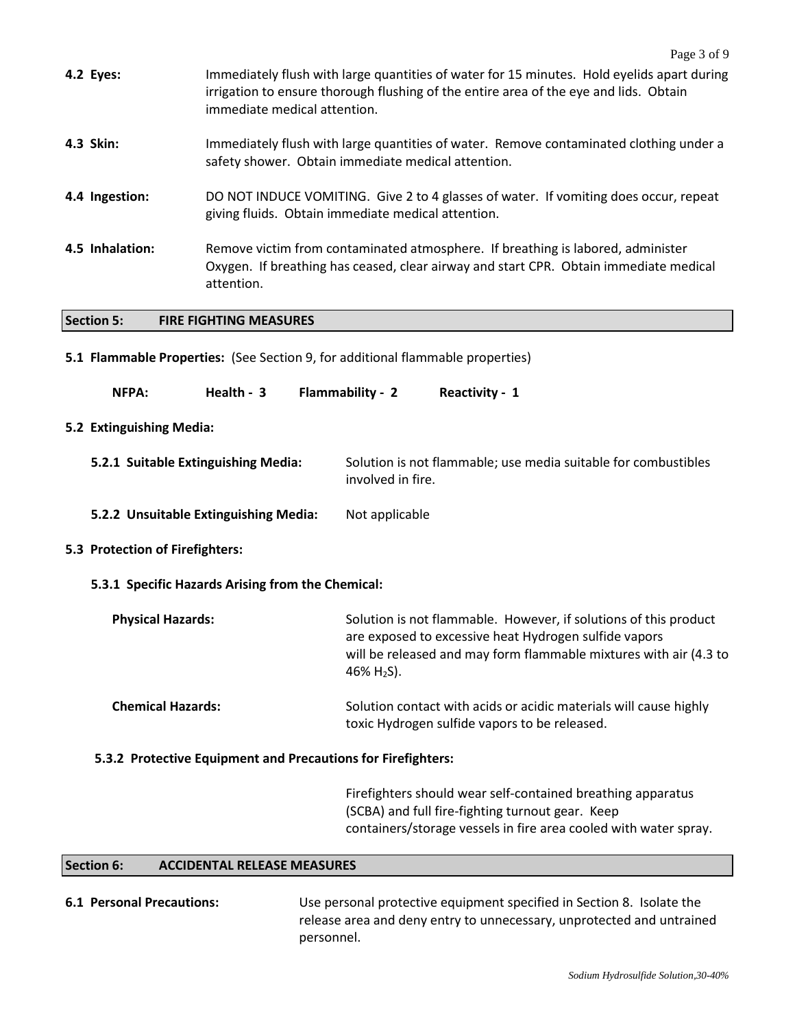|                                     |                                                                                                                                                                                        | Page 3 of 9                                                                                                                                                                                                     |  |
|-------------------------------------|----------------------------------------------------------------------------------------------------------------------------------------------------------------------------------------|-----------------------------------------------------------------------------------------------------------------------------------------------------------------------------------------------------------------|--|
| 4.2 Eyes:                           | immediate medical attention.                                                                                                                                                           | Immediately flush with large quantities of water for 15 minutes. Hold eyelids apart during<br>irrigation to ensure thorough flushing of the entire area of the eye and lids. Obtain                             |  |
| 4.3 Skin:                           |                                                                                                                                                                                        | Immediately flush with large quantities of water. Remove contaminated clothing under a<br>safety shower. Obtain immediate medical attention.                                                                    |  |
| 4.4 Ingestion:                      |                                                                                                                                                                                        | DO NOT INDUCE VOMITING. Give 2 to 4 glasses of water. If vomiting does occur, repeat<br>giving fluids. Obtain immediate medical attention.                                                                      |  |
| 4.5 Inhalation:                     | Remove victim from contaminated atmosphere. If breathing is labored, administer<br>Oxygen. If breathing has ceased, clear airway and start CPR. Obtain immediate medical<br>attention. |                                                                                                                                                                                                                 |  |
| <b>Section 5:</b>                   | <b>FIRE FIGHTING MEASURES</b>                                                                                                                                                          |                                                                                                                                                                                                                 |  |
|                                     |                                                                                                                                                                                        | 5.1 Flammable Properties: (See Section 9, for additional flammable properties)                                                                                                                                  |  |
| NFPA:                               | Health - 3                                                                                                                                                                             | Flammability - 2<br>Reactivity - 1                                                                                                                                                                              |  |
| 5.2 Extinguishing Media:            |                                                                                                                                                                                        |                                                                                                                                                                                                                 |  |
| 5.2.1 Suitable Extinguishing Media: |                                                                                                                                                                                        | Solution is not flammable; use media suitable for combustibles<br>involved in fire.                                                                                                                             |  |
|                                     | 5.2.2 Unsuitable Extinguishing Media:                                                                                                                                                  | Not applicable                                                                                                                                                                                                  |  |
| 5.3 Protection of Firefighters:     |                                                                                                                                                                                        |                                                                                                                                                                                                                 |  |
|                                     | 5.3.1 Specific Hazards Arising from the Chemical:                                                                                                                                      |                                                                                                                                                                                                                 |  |
| <b>Physical Hazards:</b>            |                                                                                                                                                                                        | Solution is not flammable. However, if solutions of this product<br>are exposed to excessive heat Hydrogen sulfide vapors<br>will be released and may form flammable mixtures with air (4.3 to<br>46% $H_2S$ ). |  |
| <b>Chemical Hazards:</b>            |                                                                                                                                                                                        | Solution contact with acids or acidic materials will cause highly<br>toxic Hydrogen sulfide vapors to be released.                                                                                              |  |
|                                     | 5.3.2 Protective Equipment and Precautions for Firefighters:                                                                                                                           |                                                                                                                                                                                                                 |  |
|                                     |                                                                                                                                                                                        | Firefighters should wear self-contained breathing apparatus<br>(SCBA) and full fire-fighting turnout gear. Keep<br>containers/storage vessels in fire area cooled with water spray.                             |  |

# **Section 6: ACCIDENTAL RELEASE MEASURES**

| <b>6.1 Personal Precautions:</b> | Use personal protective equipment specified in Section 8. Isolate the |
|----------------------------------|-----------------------------------------------------------------------|
|                                  | release area and deny entry to unnecessary, unprotected and untrained |
|                                  | personnel.                                                            |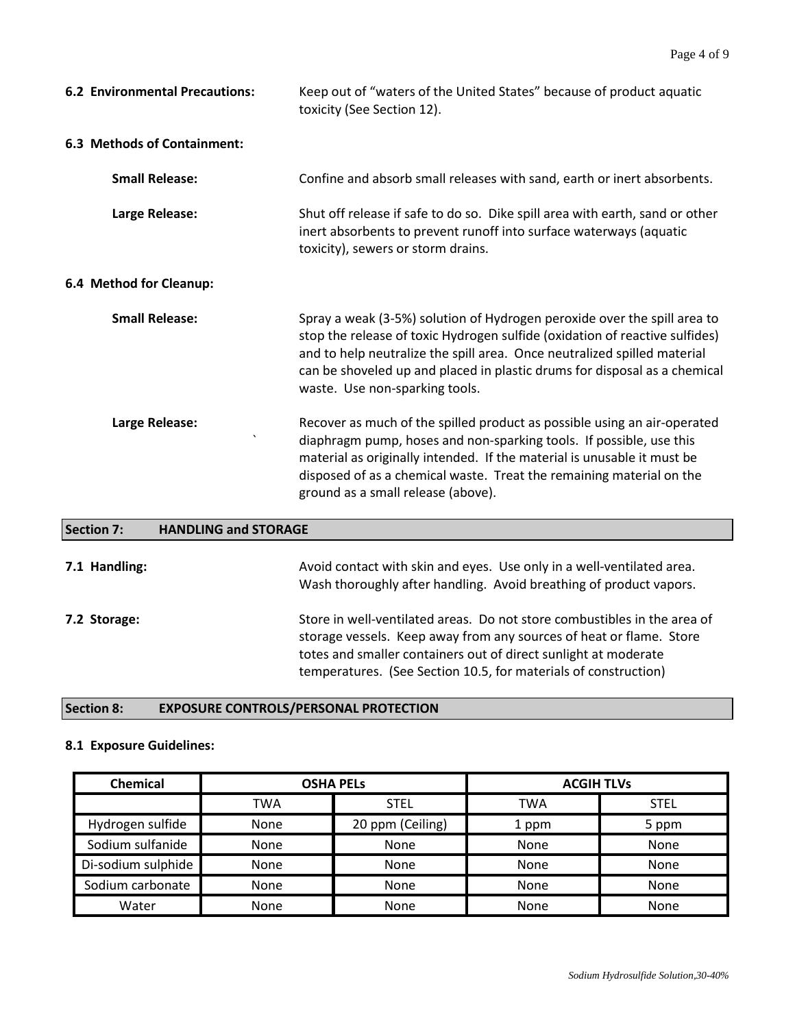| <b>6.2 Environmental Precautions:</b> | Keep out of "waters of the United States" because of product aquatic<br>toxicity (See Section 12).                                                                                                                                                                                                                                                 |
|---------------------------------------|----------------------------------------------------------------------------------------------------------------------------------------------------------------------------------------------------------------------------------------------------------------------------------------------------------------------------------------------------|
| 6.3 Methods of Containment:           |                                                                                                                                                                                                                                                                                                                                                    |
| <b>Small Release:</b>                 | Confine and absorb small releases with sand, earth or inert absorbents.                                                                                                                                                                                                                                                                            |
| Large Release:                        | Shut off release if safe to do so. Dike spill area with earth, sand or other<br>inert absorbents to prevent runoff into surface waterways (aquatic<br>toxicity), sewers or storm drains.                                                                                                                                                           |
| 6.4 Method for Cleanup:               |                                                                                                                                                                                                                                                                                                                                                    |
| <b>Small Release:</b>                 | Spray a weak (3-5%) solution of Hydrogen peroxide over the spill area to<br>stop the release of toxic Hydrogen sulfide (oxidation of reactive sulfides)<br>and to help neutralize the spill area. Once neutralized spilled material<br>can be shoveled up and placed in plastic drums for disposal as a chemical<br>waste. Use non-sparking tools. |
| Large Release:<br>$\cdot$             | Recover as much of the spilled product as possible using an air-operated<br>diaphragm pump, hoses and non-sparking tools. If possible, use this<br>material as originally intended. If the material is unusable it must be<br>disposed of as a chemical waste. Treat the remaining material on the<br>ground as a small release (above).           |

| Section 7:    | <b>HANDLING and STORAGE</b>                                                                                                                                                                                                                                                           |
|---------------|---------------------------------------------------------------------------------------------------------------------------------------------------------------------------------------------------------------------------------------------------------------------------------------|
| 7.1 Handling: | Avoid contact with skin and eyes. Use only in a well-ventilated area.<br>Wash thoroughly after handling. Avoid breathing of product vapors.                                                                                                                                           |
| 7.2 Storage:  | Store in well-ventilated areas. Do not store combustibles in the area of<br>storage vessels. Keep away from any sources of heat or flame. Store<br>totes and smaller containers out of direct sunlight at moderate<br>temperatures. (See Section 10.5, for materials of construction) |

# **Section 8: EXPOSURE CONTROLS/PERSONAL PROTECTION**

# **8.1 Exposure Guidelines:**

| Chemical           | <b>OSHA PELS</b> |                  | <b>ACGIH TLVs</b> |             |
|--------------------|------------------|------------------|-------------------|-------------|
|                    | TWA              | <b>STEL</b>      | <b>TWA</b>        | <b>STEL</b> |
| Hydrogen sulfide   | None             | 20 ppm (Ceiling) | 1 ppm             | 5 ppm       |
| Sodium sulfanide   | <b>None</b>      | None             | None              | None        |
| Di-sodium sulphide | None             | None             | None              | None        |
| Sodium carbonate   | None             | None             | <b>None</b>       | None        |
| Water              | None             | None             | None              | None        |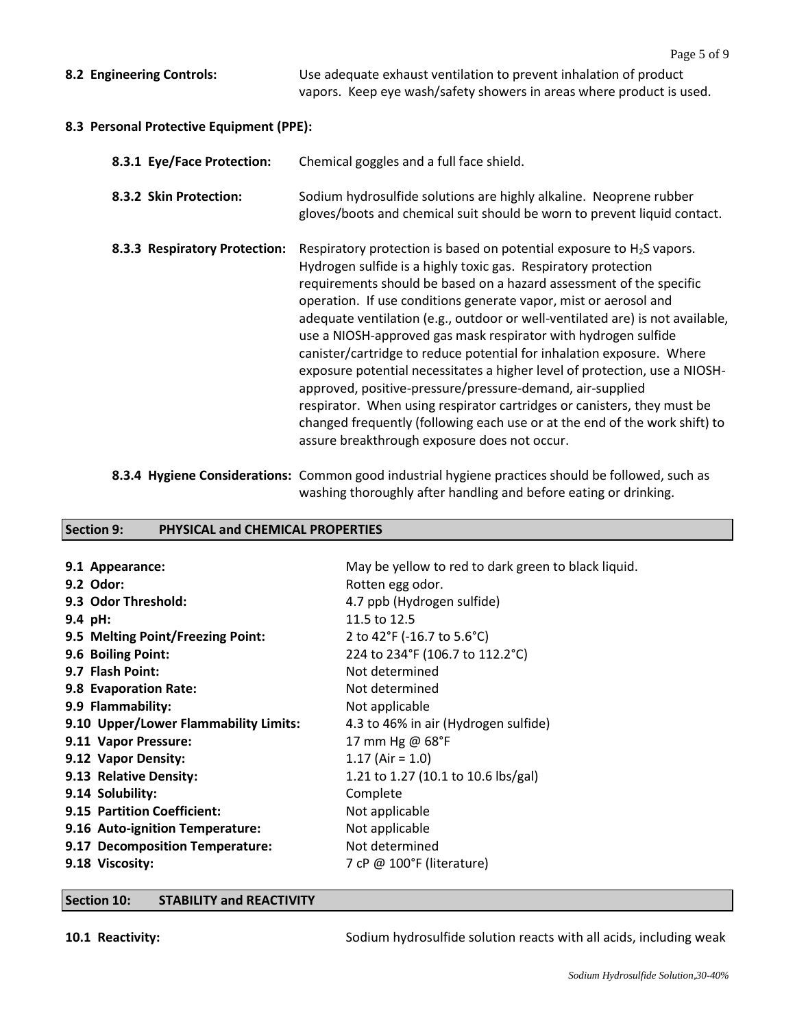**8.2 Engineering Controls:** Use adequate exhaust ventilation to prevent inhalation of product vapors. Keep eye wash/safety showers in areas where product is used.

#### **8.3 Personal Protective Equipment (PPE):**

| 8.3.1 Eye/Face Protection:    | Chemical goggles and a full face shield.                                                                                                                                                                                                                                                                                                                                                                                                                                                                                                                                                                                                                                                                                                                                                                                                                             |
|-------------------------------|----------------------------------------------------------------------------------------------------------------------------------------------------------------------------------------------------------------------------------------------------------------------------------------------------------------------------------------------------------------------------------------------------------------------------------------------------------------------------------------------------------------------------------------------------------------------------------------------------------------------------------------------------------------------------------------------------------------------------------------------------------------------------------------------------------------------------------------------------------------------|
| 8.3.2 Skin Protection:        | Sodium hydrosulfide solutions are highly alkaline. Neoprene rubber<br>gloves/boots and chemical suit should be worn to prevent liquid contact.                                                                                                                                                                                                                                                                                                                                                                                                                                                                                                                                                                                                                                                                                                                       |
| 8.3.3 Respiratory Protection: | Respiratory protection is based on potential exposure to $H_2S$ vapors.<br>Hydrogen sulfide is a highly toxic gas. Respiratory protection<br>requirements should be based on a hazard assessment of the specific<br>operation. If use conditions generate vapor, mist or aerosol and<br>adequate ventilation (e.g., outdoor or well-ventilated are) is not available,<br>use a NIOSH-approved gas mask respirator with hydrogen sulfide<br>canister/cartridge to reduce potential for inhalation exposure. Where<br>exposure potential necessitates a higher level of protection, use a NIOSH-<br>approved, positive-pressure/pressure-demand, air-supplied<br>respirator. When using respirator cartridges or canisters, they must be<br>changed frequently (following each use or at the end of the work shift) to<br>assure breakthrough exposure does not occur. |

**8.3.4 Hygiene Considerations:** Common good industrial hygiene practices should be followed, such as washing thoroughly after handling and before eating or drinking.

# **Section 9: PHYSICAL and CHEMICAL PROPERTIES**

| 9.1 Appearance:<br>9.2 Odor:          | May be yellow to red to dark green to black liquid.<br>Rotten egg odor. |
|---------------------------------------|-------------------------------------------------------------------------|
| 9.3 Odor Threshold:                   | 4.7 ppb (Hydrogen sulfide)                                              |
| 9.4 pH:                               | 11.5 to 12.5                                                            |
| 9.5 Melting Point/Freezing Point:     | 2 to 42°F (-16.7 to 5.6°C)                                              |
| 9.6 Boiling Point:                    | 224 to 234°F (106.7 to 112.2°C)                                         |
| 9.7 Flash Point:                      | Not determined                                                          |
| 9.8 Evaporation Rate:                 | Not determined                                                          |
| 9.9 Flammability:                     | Not applicable                                                          |
| 9.10 Upper/Lower Flammability Limits: | 4.3 to 46% in air (Hydrogen sulfide)                                    |
| 9.11 Vapor Pressure:                  | 17 mm Hg @ 68°F                                                         |
| 9.12 Vapor Density:                   | $1.17$ (Air = 1.0)                                                      |
| 9.13 Relative Density:                | 1.21 to 1.27 (10.1 to 10.6 lbs/gal)                                     |
| 9.14 Solubility:                      | Complete                                                                |
| 9.15 Partition Coefficient:           | Not applicable                                                          |
| 9.16 Auto-ignition Temperature:       | Not applicable                                                          |
| 9.17 Decomposition Temperature:       | Not determined                                                          |
| 9.18 Viscosity:                       | 7 cP @ 100°F (literature)                                               |

#### **Section 10: STABILITY and REACTIVITY**

**10.1 Reactivity:** Sodium hydrosulfide solution reacts with all acids, including weak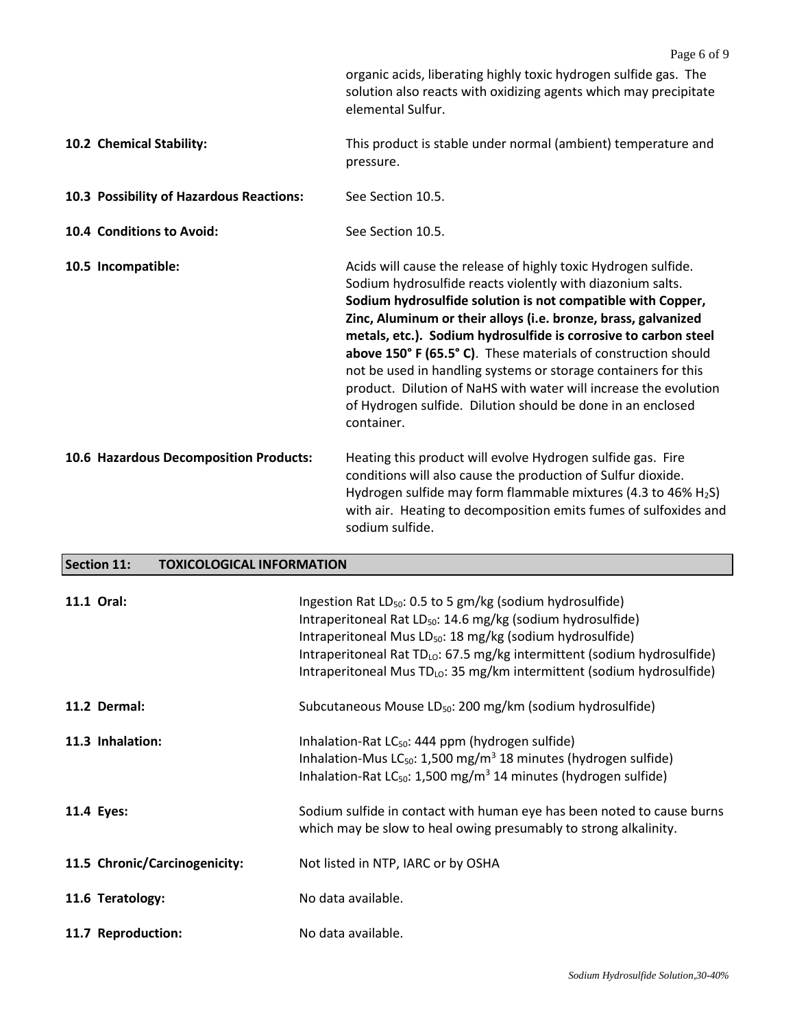|                                          | Page 6 of 9                                                                                                                                                                                                                                                                                                                                                                                                                                                                                                                                                                                                           |
|------------------------------------------|-----------------------------------------------------------------------------------------------------------------------------------------------------------------------------------------------------------------------------------------------------------------------------------------------------------------------------------------------------------------------------------------------------------------------------------------------------------------------------------------------------------------------------------------------------------------------------------------------------------------------|
|                                          | organic acids, liberating highly toxic hydrogen sulfide gas. The<br>solution also reacts with oxidizing agents which may precipitate<br>elemental Sulfur.                                                                                                                                                                                                                                                                                                                                                                                                                                                             |
| 10.2 Chemical Stability:                 | This product is stable under normal (ambient) temperature and<br>pressure.                                                                                                                                                                                                                                                                                                                                                                                                                                                                                                                                            |
| 10.3 Possibility of Hazardous Reactions: | See Section 10.5.                                                                                                                                                                                                                                                                                                                                                                                                                                                                                                                                                                                                     |
| 10.4 Conditions to Avoid:                | See Section 10.5.                                                                                                                                                                                                                                                                                                                                                                                                                                                                                                                                                                                                     |
| 10.5 Incompatible:                       | Acids will cause the release of highly toxic Hydrogen sulfide.<br>Sodium hydrosulfide reacts violently with diazonium salts.<br>Sodium hydrosulfide solution is not compatible with Copper,<br>Zinc, Aluminum or their alloys (i.e. bronze, brass, galvanized<br>metals, etc.). Sodium hydrosulfide is corrosive to carbon steel<br>above 150° F (65.5° C). These materials of construction should<br>not be used in handling systems or storage containers for this<br>product. Dilution of NaHS with water will increase the evolution<br>of Hydrogen sulfide. Dilution should be done in an enclosed<br>container. |
| 10.6 Hazardous Decomposition Products:   | Heating this product will evolve Hydrogen sulfide gas. Fire<br>conditions will also cause the production of Sulfur dioxide.<br>Hydrogen sulfide may form flammable mixtures (4.3 to 46% H <sub>2</sub> S)<br>with air. Heating to decomposition emits fumes of sulfoxides and<br>sodium sulfide.                                                                                                                                                                                                                                                                                                                      |

## **Section 11: TOXICOLOGICAL INFORMATION**

| 11.1 Oral:                    | Ingestion Rat LD <sub>50</sub> : 0.5 to 5 gm/kg (sodium hydrosulfide)<br>Intraperitoneal Rat LD <sub>50</sub> : 14.6 mg/kg (sodium hydrosulfide)<br>Intraperitoneal Mus LD <sub>50</sub> : 18 mg/kg (sodium hydrosulfide)<br>Intraperitoneal Rat TD <sub>LO</sub> : 67.5 mg/kg intermittent (sodium hydrosulfide)<br>Intraperitoneal Mus $TD_{LO}$ : 35 mg/km intermittent (sodium hydrosulfide) |
|-------------------------------|--------------------------------------------------------------------------------------------------------------------------------------------------------------------------------------------------------------------------------------------------------------------------------------------------------------------------------------------------------------------------------------------------|
| 11.2 Dermal:                  | Subcutaneous Mouse LD <sub>50</sub> : 200 mg/km (sodium hydrosulfide)                                                                                                                                                                                                                                                                                                                            |
| 11.3 Inhalation:              | Inhalation-Rat $LC_{50}$ : 444 ppm (hydrogen sulfide)<br>Inhalation-Mus $LC_{50}$ : 1,500 mg/m <sup>3</sup> 18 minutes (hydrogen sulfide)<br>Inhalation-Rat $LC_{50}$ : 1,500 mg/m <sup>3</sup> 14 minutes (hydrogen sulfide)                                                                                                                                                                    |
| 11.4 Eyes:                    | Sodium sulfide in contact with human eye has been noted to cause burns<br>which may be slow to heal owing presumably to strong alkalinity.                                                                                                                                                                                                                                                       |
| 11.5 Chronic/Carcinogenicity: | Not listed in NTP, IARC or by OSHA                                                                                                                                                                                                                                                                                                                                                               |
| 11.6 Teratology:              | No data available.                                                                                                                                                                                                                                                                                                                                                                               |
| 11.7 Reproduction:            | No data available.                                                                                                                                                                                                                                                                                                                                                                               |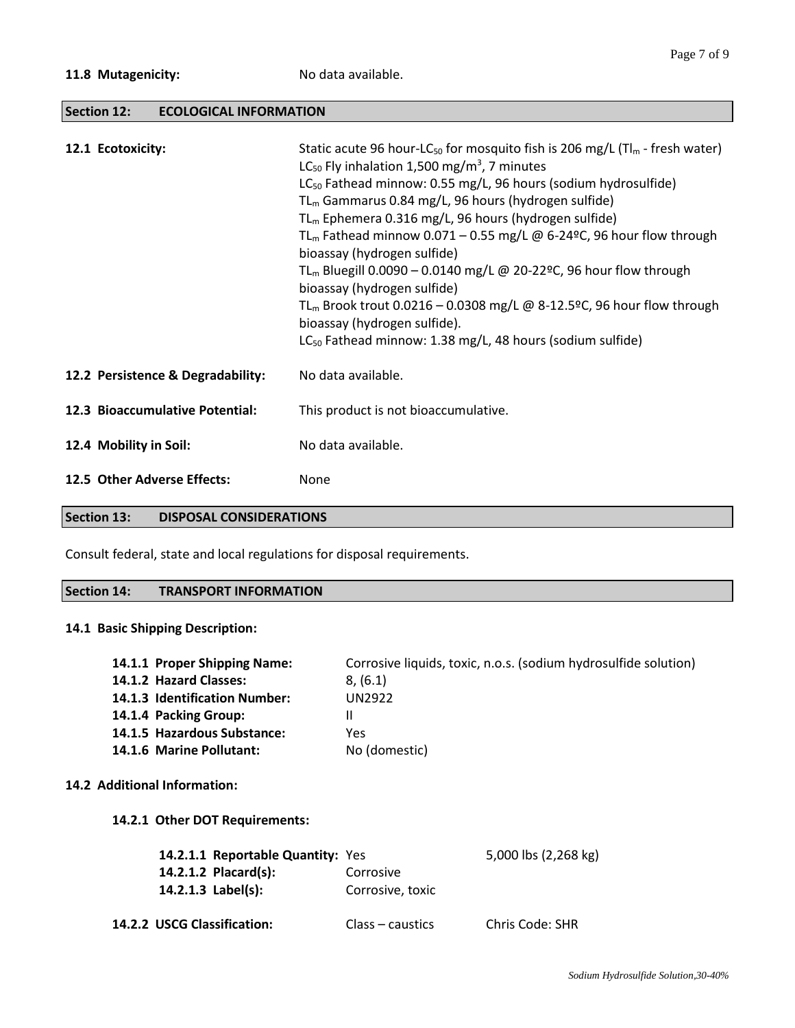### **Section 12: ECOLOGICAL INFORMATION**

| 12.1 Ecotoxicity:                 | Static acute 96 hour-LC <sub>50</sub> for mosquito fish is 206 mg/L ( $T\vert_{m}$ - fresh water)<br>LC <sub>50</sub> Fly inhalation 1,500 mg/m <sup>3</sup> , 7 minutes<br>LC <sub>50</sub> Fathead minnow: 0.55 mg/L, 96 hours (sodium hydrosulfide)<br>$TL_m$ Gammarus 0.84 mg/L, 96 hours (hydrogen sulfide)<br>$TL_m$ Ephemera 0.316 mg/L, 96 hours (hydrogen sulfide)<br>TL <sub>m</sub> Fathead minnow 0.071 – 0.55 mg/L @ 6-24°C, 96 hour flow through<br>bioassay (hydrogen sulfide)<br>TL <sub>m</sub> Bluegill 0.0090 - 0.0140 mg/L @ 20-22°C, 96 hour flow through<br>bioassay (hydrogen sulfide)<br>TL <sub>m</sub> Brook trout 0.0216 – 0.0308 mg/L @ 8-12.5ºC, 96 hour flow through<br>bioassay (hydrogen sulfide).<br>LC <sub>50</sub> Fathead minnow: 1.38 mg/L, 48 hours (sodium sulfide) |
|-----------------------------------|-------------------------------------------------------------------------------------------------------------------------------------------------------------------------------------------------------------------------------------------------------------------------------------------------------------------------------------------------------------------------------------------------------------------------------------------------------------------------------------------------------------------------------------------------------------------------------------------------------------------------------------------------------------------------------------------------------------------------------------------------------------------------------------------------------------|
| 12.2 Persistence & Degradability: | No data available.                                                                                                                                                                                                                                                                                                                                                                                                                                                                                                                                                                                                                                                                                                                                                                                          |
| 12.3 Bioaccumulative Potential:   | This product is not bioaccumulative.                                                                                                                                                                                                                                                                                                                                                                                                                                                                                                                                                                                                                                                                                                                                                                        |
| 12.4 Mobility in Soil:            | No data available.                                                                                                                                                                                                                                                                                                                                                                                                                                                                                                                                                                                                                                                                                                                                                                                          |
| 12.5 Other Adverse Effects:       | None                                                                                                                                                                                                                                                                                                                                                                                                                                                                                                                                                                                                                                                                                                                                                                                                        |

#### **Section 13: DISPOSAL CONSIDERATIONS**

Consult federal, state and local regulations for disposal requirements.

#### **Section 14: TRANSPORT INFORMATION**

## **14.1 Basic Shipping Description:**

| 14.1.1 Proper Shipping Name:  | Corrosive liquids, toxic, n.o.s. (sodium hydrosulfide solution) |
|-------------------------------|-----------------------------------------------------------------|
| 14.1.2 Hazard Classes:        | 8, (6.1)                                                        |
| 14.1.3 Identification Number: | UN2922                                                          |
| 14.1.4 Packing Group:         |                                                                 |
| 14.1.5 Hazardous Substance:   | Yes                                                             |
| 14.1.6 Marine Pollutant:      | No (domestic)                                                   |
|                               |                                                                 |
| 14.2 Additional Information:  |                                                                 |

#### **14.2.1 Other DOT Requirements:**

| 14.2.1.1 Reportable Quantity: Yes |                  | 5,000 lbs (2,268 kg) |
|-----------------------------------|------------------|----------------------|
| 14.2.1.2 Placard(s):              | Corrosive        |                      |
| 14.2.1.3 $Label(s):$              | Corrosive, toxic |                      |
| 14.2.2 USCG Classification:       | Class – caustics | Chris Code: SHR      |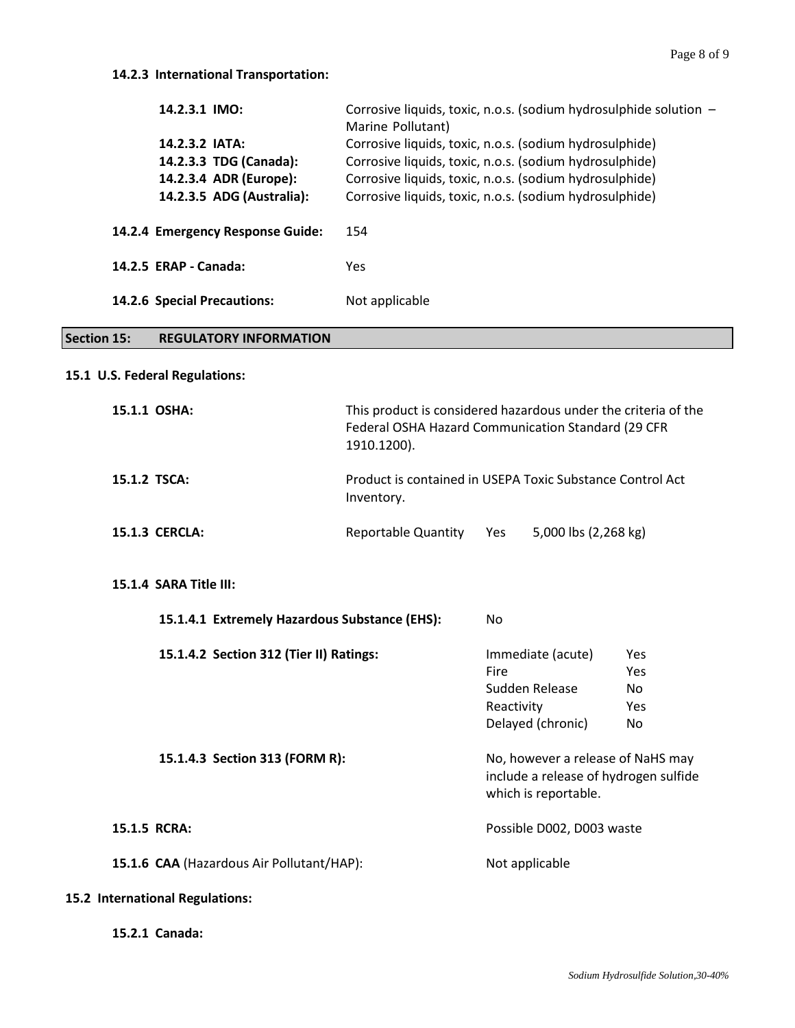| 14.2.3.1 IMO:                    | Corrosive liquids, toxic, n.o.s. (sodium hydrosulphide solution -<br>Marine Pollutant) |
|----------------------------------|----------------------------------------------------------------------------------------|
| 14.2.3.2 IATA:                   | Corrosive liquids, toxic, n.o.s. (sodium hydrosulphide)                                |
| 14.2.3.3 TDG (Canada):           | Corrosive liquids, toxic, n.o.s. (sodium hydrosulphide)                                |
| 14.2.3.4 ADR (Europe):           | Corrosive liquids, toxic, n.o.s. (sodium hydrosulphide)                                |
| 14.2.3.5 ADG (Australia):        | Corrosive liquids, toxic, n.o.s. (sodium hydrosulphide)                                |
| 14.2.4 Emergency Response Guide: | 154                                                                                    |
| 14.2.5 ERAP - Canada:            | Yes                                                                                    |
| 14.2.6 Special Precautions:      | Not applicable                                                                         |

# **Section 15: REGULATORY INFORMATION**

#### **15.1 U.S. Federal Regulations:**

| 15.1.1 OSHA:          | This product is considered hazardous under the criteria of the<br>Federal OSHA Hazard Communication Standard (29 CFR<br>1910.1200). |  |
|-----------------------|-------------------------------------------------------------------------------------------------------------------------------------|--|
| 15.1.2 TSCA:          | Product is contained in USEPA Toxic Substance Control Act<br>Inventory.                                                             |  |
| <b>15.1.3 CERCLA:</b> | 5,000 lbs (2,268 kg)<br>Reportable Quantity<br><b>Yes</b>                                                                           |  |

#### **15.1.4 SARA Title III:**

| 15.1.4.1 Extremely Hazardous Substance (EHS): | No.                                                                                                |            |
|-----------------------------------------------|----------------------------------------------------------------------------------------------------|------------|
| 15.1.4.2 Section 312 (Tier II) Ratings:       | Immediate (acute)                                                                                  | <b>Yes</b> |
|                                               | Fire                                                                                               | Yes        |
|                                               | Sudden Release                                                                                     | No         |
|                                               | Reactivity                                                                                         | <b>Yes</b> |
|                                               | Delayed (chronic)                                                                                  | No.        |
| 15.1.4.3 Section 313 (FORM R):                | No, however a release of NaHS may<br>include a release of hydrogen sulfide<br>which is reportable. |            |
| 15.1.5 RCRA:                                  | Possible D002, D003 waste                                                                          |            |
| 15.1.6 CAA (Hazardous Air Pollutant/HAP):     | Not applicable                                                                                     |            |
|                                               |                                                                                                    |            |

#### **15.2 International Regulations:**

**15.2.1 Canada:**